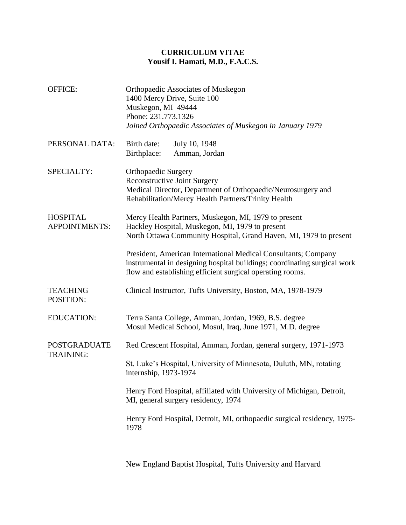## **CURRICULUM VITAE Yousif I. Hamati, M.D., F.A.C.S.**

| <b>OFFICE:</b>                          | Orthopaedic Associates of Muskegon<br>1400 Mercy Drive, Suite 100<br>Muskegon, MI 49444<br>Phone: 231.773.1326<br>Joined Orthopaedic Associates of Muskegon in January 1979                             |
|-----------------------------------------|---------------------------------------------------------------------------------------------------------------------------------------------------------------------------------------------------------|
| PERSONAL DATA:                          | July 10, 1948<br>Birth date:<br>Birthplace:<br>Amman, Jordan                                                                                                                                            |
| SPECIALTY:                              | <b>Orthopaedic Surgery</b><br>Reconstructive Joint Surgery<br>Medical Director, Department of Orthopaedic/Neurosurgery and<br>Rehabilitation/Mercy Health Partners/Trinity Health                       |
| <b>HOSPITAL</b><br><b>APPOINTMENTS:</b> | Mercy Health Partners, Muskegon, MI, 1979 to present<br>Hackley Hospital, Muskegon, MI, 1979 to present<br>North Ottawa Community Hospital, Grand Haven, MI, 1979 to present                            |
|                                         | President, American International Medical Consultants; Company<br>instrumental in designing hospital buildings; coordinating surgical work<br>flow and establishing efficient surgical operating rooms. |
| <b>TEACHING</b><br>POSITION:            | Clinical Instructor, Tufts University, Boston, MA, 1978-1979                                                                                                                                            |
| <b>EDUCATION:</b>                       | Terra Santa College, Amman, Jordan, 1969, B.S. degree<br>Mosul Medical School, Mosul, Iraq, June 1971, M.D. degree                                                                                      |
| <b>POSTGRADUATE</b><br><b>TRAINING:</b> | Red Crescent Hospital, Amman, Jordan, general surgery, 1971-1973                                                                                                                                        |
|                                         | St. Luke's Hospital, University of Minnesota, Duluth, MN, rotating<br>internship, 1973-1974                                                                                                             |
|                                         | Henry Ford Hospital, affiliated with University of Michigan, Detroit,<br>MI, general surgery residency, 1974                                                                                            |
|                                         | Henry Ford Hospital, Detroit, MI, orthopaedic surgical residency, 1975-<br>1978                                                                                                                         |
|                                         |                                                                                                                                                                                                         |

New England Baptist Hospital, Tufts University and Harvard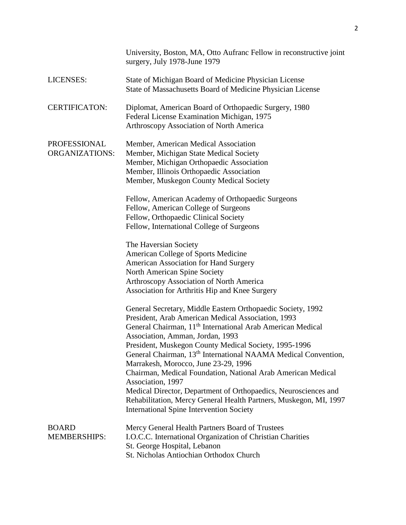|                                       | University, Boston, MA, Otto Aufranc Fellow in reconstructive joint<br>surgery, July 1978-June 1979                                                                                                                                                                                                                                                                                                                                                                                                                                                                                                                                                                                            |
|---------------------------------------|------------------------------------------------------------------------------------------------------------------------------------------------------------------------------------------------------------------------------------------------------------------------------------------------------------------------------------------------------------------------------------------------------------------------------------------------------------------------------------------------------------------------------------------------------------------------------------------------------------------------------------------------------------------------------------------------|
| LICENSES:                             | State of Michigan Board of Medicine Physician License<br>State of Massachusetts Board of Medicine Physician License                                                                                                                                                                                                                                                                                                                                                                                                                                                                                                                                                                            |
| <b>CERTIFICATON:</b>                  | Diplomat, American Board of Orthopaedic Surgery, 1980<br>Federal License Examination Michigan, 1975<br>Arthroscopy Association of North America                                                                                                                                                                                                                                                                                                                                                                                                                                                                                                                                                |
| PROFESSIONAL<br><b>ORGANIZATIONS:</b> | Member, American Medical Association<br>Member, Michigan State Medical Society<br>Member, Michigan Orthopaedic Association<br>Member, Illinois Orthopaedic Association<br>Member, Muskegon County Medical Society                                                                                                                                                                                                                                                                                                                                                                                                                                                                              |
|                                       | Fellow, American Academy of Orthopaedic Surgeons<br>Fellow, American College of Surgeons<br>Fellow, Orthopaedic Clinical Society<br>Fellow, International College of Surgeons                                                                                                                                                                                                                                                                                                                                                                                                                                                                                                                  |
|                                       | The Haversian Society<br>American College of Sports Medicine<br><b>American Association for Hand Surgery</b><br>North American Spine Society<br>Arthroscopy Association of North America<br>Association for Arthritis Hip and Knee Surgery                                                                                                                                                                                                                                                                                                                                                                                                                                                     |
|                                       | General Secretary, Middle Eastern Orthopaedic Society, 1992<br>President, Arab American Medical Association, 1993<br>General Chairman, 11 <sup>th</sup> International Arab American Medical<br>Association, Amman, Jordan, 1993<br>President, Muskegon County Medical Society, 1995-1996<br>General Chairman, 13 <sup>th</sup> International NAAMA Medical Convention,<br>Marrakesh, Morocco, June 23-29, 1996<br>Chairman, Medical Foundation, National Arab American Medical<br>Association, 1997<br>Medical Director, Department of Orthopaedics, Neurosciences and<br>Rehabilitation, Mercy General Health Partners, Muskegon, MI, 1997<br><b>International Spine Intervention Society</b> |
| <b>BOARD</b><br><b>MEMBERSHIPS:</b>   | Mercy General Health Partners Board of Trustees<br>I.O.C.C. International Organization of Christian Charities<br>St. George Hospital, Lebanon<br>St. Nicholas Antiochian Orthodox Church                                                                                                                                                                                                                                                                                                                                                                                                                                                                                                       |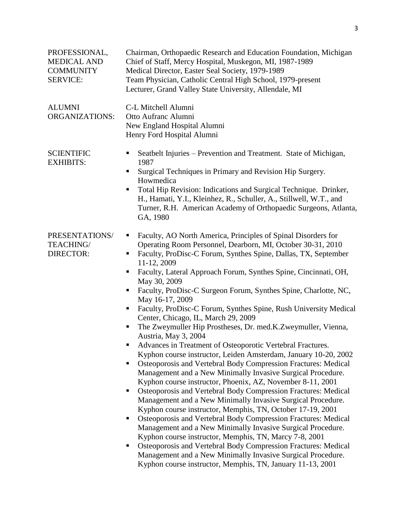| PROFESSIONAL,<br><b>MEDICAL AND</b><br><b>COMMUNITY</b><br><b>SERVICE:</b> | Chairman, Orthopaedic Research and Education Foundation, Michigan<br>Chief of Staff, Mercy Hospital, Muskegon, MI, 1987-1989<br>Medical Director, Easter Seal Society, 1979-1989<br>Team Physician, Catholic Central High School, 1979-present<br>Lecturer, Grand Valley State University, Allendale, MI                                                                                                                                                                                                                                                                                                                                                                                                                                                                                                                                                                                                                                                                                                                                                                                                                                                                                                                                                                                                                                                                                                                                                                                                                                                        |
|----------------------------------------------------------------------------|-----------------------------------------------------------------------------------------------------------------------------------------------------------------------------------------------------------------------------------------------------------------------------------------------------------------------------------------------------------------------------------------------------------------------------------------------------------------------------------------------------------------------------------------------------------------------------------------------------------------------------------------------------------------------------------------------------------------------------------------------------------------------------------------------------------------------------------------------------------------------------------------------------------------------------------------------------------------------------------------------------------------------------------------------------------------------------------------------------------------------------------------------------------------------------------------------------------------------------------------------------------------------------------------------------------------------------------------------------------------------------------------------------------------------------------------------------------------------------------------------------------------------------------------------------------------|
| <b>ALUMNI</b><br><b>ORGANIZATIONS:</b>                                     | C-L Mitchell Alumni<br>Otto Aufranc Alumni<br>New England Hospital Alumni<br>Henry Ford Hospital Alumni                                                                                                                                                                                                                                                                                                                                                                                                                                                                                                                                                                                                                                                                                                                                                                                                                                                                                                                                                                                                                                                                                                                                                                                                                                                                                                                                                                                                                                                         |
| <b>SCIENTIFIC</b><br><b>EXHIBITS:</b>                                      | Seatbelt Injuries – Prevention and Treatment. State of Michigan,<br>п<br>1987<br>Surgical Techniques in Primary and Revision Hip Surgery.<br>٠<br>Howmedica<br>Total Hip Revision: Indications and Surgical Technique. Drinker,<br>Ξ<br>H., Hamati, Y.I., Kleinhez, R., Schuller, A., Stillwell, W.T., and<br>Turner, R.H. American Academy of Orthopaedic Surgeons, Atlanta,<br>GA, 1980                                                                                                                                                                                                                                                                                                                                                                                                                                                                                                                                                                                                                                                                                                                                                                                                                                                                                                                                                                                                                                                                                                                                                                       |
| PRESENTATIONS/<br>TEACHING/<br><b>DIRECTOR:</b>                            | Faculty, AO North America, Principles of Spinal Disorders for<br>п<br>Operating Room Personnel, Dearborn, MI, October 30-31, 2010<br>Faculty, ProDisc-C Forum, Synthes Spine, Dallas, TX, September<br>п<br>11-12, 2009<br>Faculty, Lateral Approach Forum, Synthes Spine, Cincinnati, OH,<br>п<br>May 30, 2009<br>Faculty, ProDisc-C Surgeon Forum, Synthes Spine, Charlotte, NC,<br>п<br>May 16-17, 2009<br>Faculty, ProDisc-C Forum, Synthes Spine, Rush University Medical<br>п<br>Center, Chicago, IL, March 29, 2009<br>The Zweymuller Hip Prostheses, Dr. med.K.Zweymuller, Vienna,<br>п<br>Austria, May 3, 2004<br>Advances in Treatment of Osteoporotic Vertebral Fractures.<br>Kyphon course instructor, Leiden Amsterdam, January 10-20, 2002<br>Osteoporosis and Vertebral Body Compression Fractures: Medical<br>П<br>Management and a New Minimally Invasive Surgical Procedure.<br>Kyphon course instructor, Phoenix, AZ, November 8-11, 2001<br>Osteoporosis and Vertebral Body Compression Fractures: Medical<br>П<br>Management and a New Minimally Invasive Surgical Procedure.<br>Kyphon course instructor, Memphis, TN, October 17-19, 2001<br>Osteoporosis and Vertebral Body Compression Fractures: Medical<br>Management and a New Minimally Invasive Surgical Procedure.<br>Kyphon course instructor, Memphis, TN, Marcy 7-8, 2001<br>Osteoporosis and Vertebral Body Compression Fractures: Medical<br>ш<br>Management and a New Minimally Invasive Surgical Procedure.<br>Kyphon course instructor, Memphis, TN, January 11-13, 2001 |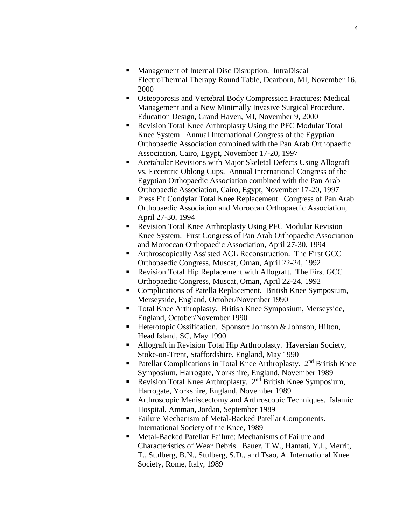- Management of Internal Disc Disruption. IntraDiscal ElectroThermal Therapy Round Table, Dearborn, MI, November 16, 2000
- Osteoporosis and Vertebral Body Compression Fractures: Medical Management and a New Minimally Invasive Surgical Procedure. Education Design, Grand Haven, MI, November 9, 2000
- Revision Total Knee Arthroplasty Using the PFC Modular Total Knee System. Annual International Congress of the Egyptian Orthopaedic Association combined with the Pan Arab Orthopaedic Association, Cairo, Egypt, November 17-20, 1997
- Acetabular Revisions with Major Skeletal Defects Using Allograft vs. Eccentric Oblong Cups. Annual International Congress of the Egyptian Orthopaedic Association combined with the Pan Arab Orthopaedic Association, Cairo, Egypt, November 17-20, 1997
- **Press Fit Condylar Total Knee Replacement. Congress of Pan Arab** Orthopaedic Association and Moroccan Orthopaedic Association, April 27-30, 1994
- Revision Total Knee Arthroplasty Using PFC Modular Revision Knee System. First Congress of Pan Arab Orthopaedic Association and Moroccan Orthopaedic Association, April 27-30, 1994
- Arthroscopically Assisted ACL Reconstruction. The First GCC Orthopaedic Congress, Muscat, Oman, April 22-24, 1992
- Revision Total Hip Replacement with Allograft. The First GCC Orthopaedic Congress, Muscat, Oman, April 22-24, 1992
- Complications of Patella Replacement. British Knee Symposium, Merseyside, England, October/November 1990
- Total Knee Arthroplasty. British Knee Symposium, Merseyside, England, October/November 1990
- Heterotopic Ossification. Sponsor: Johnson & Johnson, Hilton, Head Island, SC, May 1990
- Allograft in Revision Total Hip Arthroplasty. Haversian Society, Stoke-on-Trent, Staffordshire, England, May 1990
- Patellar Complications in Total Knee Arthroplasty. 2<sup>nd</sup> British Knee Symposium, Harrogate, Yorkshire, England, November 1989
- **•** Revision Total Knee Arthroplasty.  $2<sup>nd</sup>$  British Knee Symposium, Harrogate, Yorkshire, England, November 1989
- Arthroscopic Meniscectomy and Arthroscopic Techniques. Islamic Hospital, Amman, Jordan, September 1989
- Failure Mechanism of Metal-Backed Patellar Components. International Society of the Knee, 1989
- Metal-Backed Patellar Failure: Mechanisms of Failure and Characteristics of Wear Debris. Bauer, T.W., Hamati, Y.I., Merrit, T., Stulberg, B.N., Stulberg, S.D., and Tsao, A. International Knee Society, Rome, Italy, 1989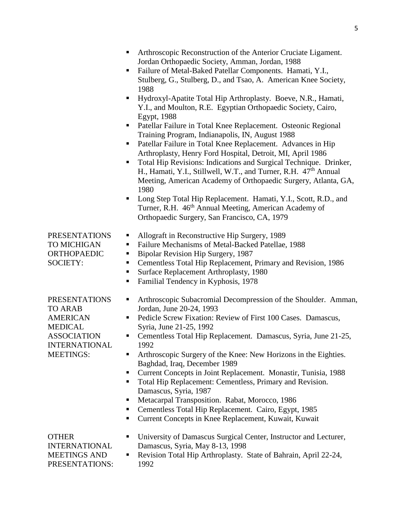|                                                                                                                                               | Arthroscopic Reconstruction of the Anterior Cruciate Ligament.<br>Jordan Orthopaedic Society, Amman, Jordan, 1988<br>Failure of Metal-Baked Patellar Components. Hamati, Y.I.,<br>п<br>Stulberg, G., Stulberg, D., and Tsao, A. American Knee Society,<br>1988<br>Hydroxyl-Apatite Total Hip Arthroplasty. Boeve, N.R., Hamati,<br>٠<br>Y.I., and Moulton, R.E. Egyptian Orthopaedic Society, Cairo,<br>Egypt, 1988<br>Patellar Failure in Total Knee Replacement. Osteonic Regional<br>п<br>Training Program, Indianapolis, IN, August 1988<br>Patellar Failure in Total Knee Replacement. Advances in Hip<br>Arthroplasty, Henry Ford Hospital, Detroit, MI, April 1986<br>Total Hip Revisions: Indications and Surgical Technique. Drinker,<br>п<br>H., Hamati, Y.I., Stillwell, W.T., and Turner, R.H. 47 <sup>th</sup> Annual<br>Meeting, American Academy of Orthopaedic Surgery, Atlanta, GA,<br>1980<br>Long Step Total Hip Replacement. Hamati, Y.I., Scott, R.D., and<br>п<br>Turner, R.H. 46 <sup>th</sup> Annual Meeting, American Academy of<br>Orthopaedic Surgery, San Francisco, CA, 1979 |
|-----------------------------------------------------------------------------------------------------------------------------------------------|-----------------------------------------------------------------------------------------------------------------------------------------------------------------------------------------------------------------------------------------------------------------------------------------------------------------------------------------------------------------------------------------------------------------------------------------------------------------------------------------------------------------------------------------------------------------------------------------------------------------------------------------------------------------------------------------------------------------------------------------------------------------------------------------------------------------------------------------------------------------------------------------------------------------------------------------------------------------------------------------------------------------------------------------------------------------------------------------------------------|
| <b>PRESENTATIONS</b><br>TO MICHIGAN<br><b>ORTHOPAEDIC</b><br><b>SOCIETY:</b>                                                                  | Allograft in Reconstructive Hip Surgery, 1989<br>п<br>Failure Mechanisms of Metal-Backed Patellae, 1988<br>п<br>Bipolar Revision Hip Surgery, 1987<br>п<br>Cementless Total Hip Replacement, Primary and Revision, 1986<br>Е<br>Surface Replacement Arthroplasty, 1980<br>Familial Tendency in Kyphosis, 1978<br>п                                                                                                                                                                                                                                                                                                                                                                                                                                                                                                                                                                                                                                                                                                                                                                                        |
| <b>PRESENTATIONS</b><br><b>TO ARAB</b><br><b>AMERICAN</b><br><b>MEDICAL</b><br><b>ASSOCIATION</b><br><b>INTERNATIONAL</b><br><b>MEETINGS:</b> | Arthroscopic Subacromial Decompression of the Shoulder. Amman,<br>٠<br>Jordan, June 20-24, 1993<br>Pedicle Screw Fixation: Review of First 100 Cases. Damascus,<br>Syria, June 21-25, 1992<br>Cementless Total Hip Replacement. Damascus, Syria, June 21-25,<br>٠<br>1992<br>Arthroscopic Surgery of the Knee: New Horizons in the Eighties.<br>Baghdad, Iraq, December 1989<br>Current Concepts in Joint Replacement. Monastir, Tunisia, 1988<br>п<br>Total Hip Replacement: Cementless, Primary and Revision.<br>п<br>Damascus, Syria, 1987<br>Metacarpal Transposition. Rabat, Morocco, 1986<br>Cementless Total Hip Replacement. Cairo, Egypt, 1985<br>ш<br>Current Concepts in Knee Replacement, Kuwait, Kuwait                                                                                                                                                                                                                                                                                                                                                                                      |
| <b>OTHER</b><br><b>INTERNATIONAL</b><br><b>MEETINGS AND</b><br>PRESENTATIONS:                                                                 | University of Damascus Surgical Center, Instructor and Lecturer,<br>٠<br>Damascus, Syria, May 8-13, 1998<br>Revision Total Hip Arthroplasty. State of Bahrain, April 22-24,<br>1992                                                                                                                                                                                                                                                                                                                                                                                                                                                                                                                                                                                                                                                                                                                                                                                                                                                                                                                       |